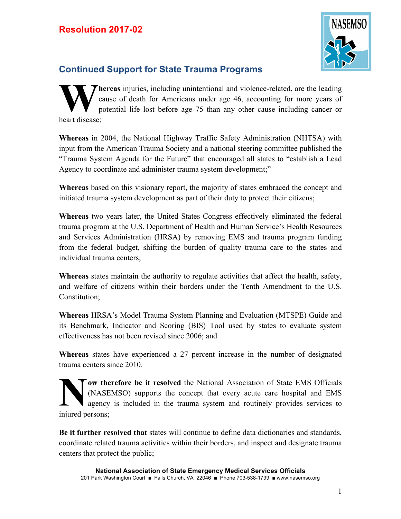

## **Continued Support for State Trauma Programs**

**hereas** injuries, including unintentional and violence-related, are the leading cause of death for Americans under age 46, accounting for more years of potential life lost before age 75 than any other cause including cancer or heart disease; **W**

**Whereas** in 2004, the National Highway Traffic Safety Administration (NHTSA) with input from the American Trauma Society and a national steering committee published the "Trauma System Agenda for the Future" that encouraged all states to "establish a Lead Agency to coordinate and administer trauma system development;"

**Whereas** based on this visionary report, the majority of states embraced the concept and initiated trauma system development as part of their duty to protect their citizens;

**Whereas** two years later, the United States Congress effectively eliminated the federal trauma program at the U.S. Department of Health and Human Service's Health Resources and Services Administration (HRSA) by removing EMS and trauma program funding from the federal budget, shifting the burden of quality trauma care to the states and individual trauma centers;

**Whereas** states maintain the authority to regulate activities that affect the health, safety, and welfare of citizens within their borders under the Tenth Amendment to the U.S. Constitution;

**Whereas** HRSA's Model Trauma System Planning and Evaluation (MTSPE) Guide and its Benchmark, Indicator and Scoring (BIS) Tool used by states to evaluate system effectiveness has not been revised since 2006; and

**Whereas** states have experienced a 27 percent increase in the number of designated trauma centers since 2010.

**ow therefore be it resolved** the National Association of State EMS Officials (NASEMSO) supports the concept that every acute care hospital and EMS agency is included in the trauma system and routinely provides services to injured persons; **N**

**Be it further resolved that** states will continue to define data dictionaries and standards, coordinate related trauma activities within their borders, and inspect and designate trauma centers that protect the public;